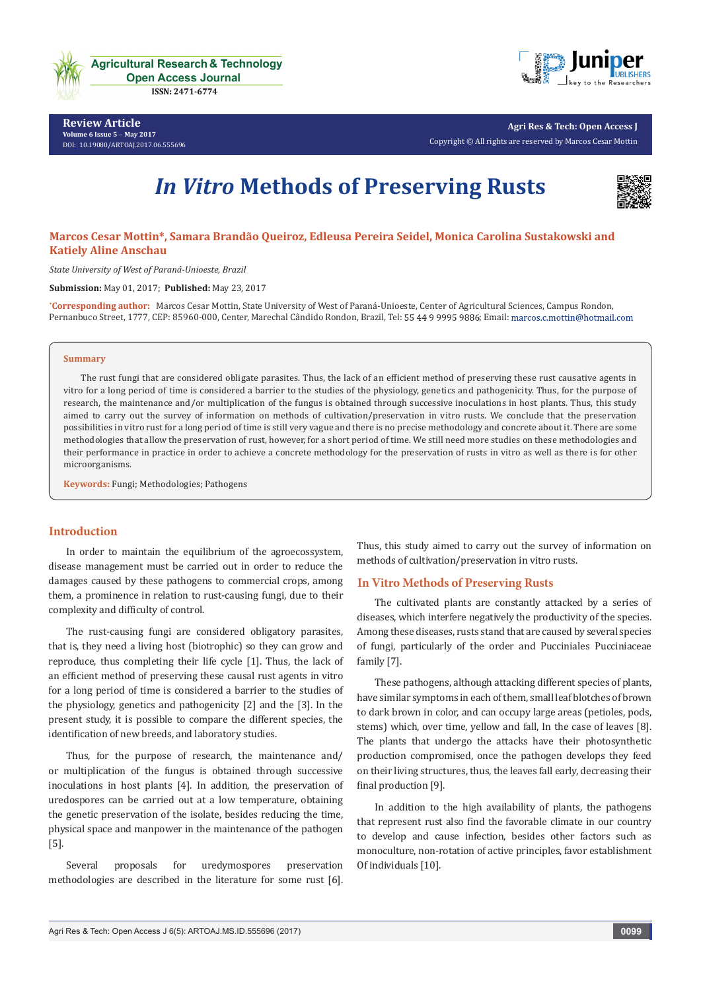

**Review Article Volume 6 Issue 5** - **May 2017** [DOI:](http://dx.doi.org/10.19080/artoaj.2016.02.555590
) [10.19080/ARTOAJ.2017.06.555696](http://dx.doi.org/10.19080/artoaj.2017.06.555696)



**Agri Res & Tech: Open Access J** Copyright © All rights are reserved by Marcos Cesar Mottin

# *In Vitro* **Methods of Preserving Rusts**



# **Marcos Cesar Mottin\*, Samara Brandão Queiroz, Edleusa Pereira Seidel, Monica Carolina Sustakowski and Katiely Aline Anschau**

*State University of West of Paraná-Unioeste, Brazil* 

**Submission:** May 01, 2017; **Published:** May 23, 2017

**\* Corresponding author:** Marcos Cesar Mottin, State University of West of Paraná-Unioeste, Center of Agricultural Sciences, Campus Rondon, Pernanbuco Street, 1777, CEP: 85960-000, Center, Marechal Cândido Rondon, Brazil, Tel: 55 44 9 9995 9886; Email: marcos.c.mottin@hotmail.com

#### **Summary**

The rust fungi that are considered obligate parasites. Thus, the lack of an efficient method of preserving these rust causative agents in vitro for a long period of time is considered a barrier to the studies of the physiology, genetics and pathogenicity. Thus, for the purpose of research, the maintenance and/or multiplication of the fungus is obtained through successive inoculations in host plants. Thus, this study aimed to carry out the survey of information on methods of cultivation/preservation in vitro rusts. We conclude that the preservation possibilities in vitro rust for a long period of time is still very vague and there is no precise methodology and concrete about it. There are some methodologies that allow the preservation of rust, however, for a short period of time. We still need more studies on these methodologies and their performance in practice in order to achieve a concrete methodology for the preservation of rusts in vitro as well as there is for other microorganisms.

**Keywords:** Fungi; Methodologies; Pathogens

## **Introduction**

In order to maintain the equilibrium of the agroecossystem, disease management must be carried out in order to reduce the damages caused by these pathogens to commercial crops, among them, a prominence in relation to rust-causing fungi, due to their complexity and difficulty of control.

The rust-causing fungi are considered obligatory parasites, that is, they need a living host (biotrophic) so they can grow and reproduce, thus completing their life cycle [1]. Thus, the lack of an efficient method of preserving these causal rust agents in vitro for a long period of time is considered a barrier to the studies of the physiology, genetics and pathogenicity [2] and the [3]. In the present study, it is possible to compare the different species, the identification of new breeds, and laboratory studies.

Thus, for the purpose of research, the maintenance and/ or multiplication of the fungus is obtained through successive inoculations in host plants [4]. In addition, the preservation of uredospores can be carried out at a low temperature, obtaining the genetic preservation of the isolate, besides reducing the time, physical space and manpower in the maintenance of the pathogen [5].

Several proposals for uredymospores preservation methodologies are described in the literature for some rust [6].

Thus, this study aimed to carry out the survey of information on methods of cultivation/preservation in vitro rusts.

#### **In Vitro Methods of Preserving Rusts**

The cultivated plants are constantly attacked by a series of diseases, which interfere negatively the productivity of the species. Among these diseases, rusts stand that are caused by several species of fungi, particularly of the order and Pucciniales Pucciniaceae family [7].

These pathogens, although attacking different species of plants, have similar symptoms in each of them, small leaf blotches of brown to dark brown in color, and can occupy large areas (petioles, pods, stems) which, over time, yellow and fall, In the case of leaves [8]. The plants that undergo the attacks have their photosynthetic production compromised, once the pathogen develops they feed on their living structures, thus, the leaves fall early, decreasing their final production [9].

In addition to the high availability of plants, the pathogens that represent rust also find the favorable climate in our country to develop and cause infection, besides other factors such as monoculture, non-rotation of active principles, favor establishment Of individuals [10].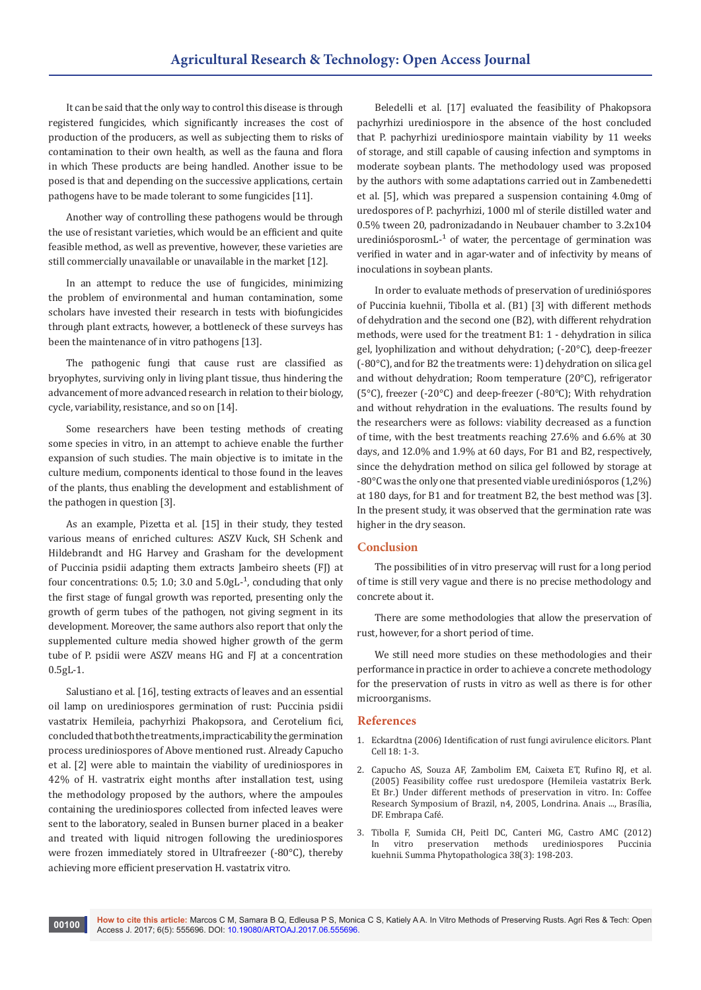It can be said that the only way to control this disease is through registered fungicides, which significantly increases the cost of production of the producers, as well as subjecting them to risks of contamination to their own health, as well as the fauna and flora in which These products are being handled. Another issue to be posed is that and depending on the successive applications, certain pathogens have to be made tolerant to some fungicides [11].

Another way of controlling these pathogens would be through the use of resistant varieties, which would be an efficient and quite feasible method, as well as preventive, however, these varieties are still commercially unavailable or unavailable in the market [12].

In an attempt to reduce the use of fungicides, minimizing the problem of environmental and human contamination, some scholars have invested their research in tests with biofungicides through plant extracts, however, a bottleneck of these surveys has been the maintenance of in vitro pathogens [13].

The pathogenic fungi that cause rust are classified as bryophytes, surviving only in living plant tissue, thus hindering the advancement of more advanced research in relation to their biology, cycle, variability, resistance, and so on [14].

Some researchers have been testing methods of creating some species in vitro, in an attempt to achieve enable the further expansion of such studies. The main objective is to imitate in the culture medium, components identical to those found in the leaves of the plants, thus enabling the development and establishment of the pathogen in question [3].

As an example, Pizetta et al. [15] in their study, they tested various means of enriched cultures: ASZV Kuck, SH Schenk and Hildebrandt and HG Harvey and Grasham for the development of Puccinia psidii adapting them extracts Jambeiro sheets (FJ) at four concentrations: 0.5; 1.0; 3.0 and  $5.0$ gL<sup>-1</sup>, concluding that only the first stage of fungal growth was reported, presenting only the growth of germ tubes of the pathogen, not giving segment in its development. Moreover, the same authors also report that only the supplemented culture media showed higher growth of the germ tube of P. psidii were ASZV means HG and FJ at a concentration 0.5gL-1.

Salustiano et al. [16], testing extracts of leaves and an essential oil lamp on urediniospores germination of rust: Puccinia psidii vastatrix Hemileia, pachyrhizi Phakopsora, and Cerotelium fici, concluded that both the treatments, impracticability the germination process urediniospores of Above mentioned rust. Already Capucho et al. [2] were able to maintain the viability of urediniospores in 42% of H. vastratrix eight months after installation test, using the methodology proposed by the authors, where the ampoules containing the urediniospores collected from infected leaves were sent to the laboratory, sealed in Bunsen burner placed in a beaker and treated with liquid nitrogen following the urediniospores were frozen immediately stored in Ultrafreezer (-80°C), thereby achieving more efficient preservation H. vastatrix vitro.

Beledelli et al. [17] evaluated the feasibility of Phakopsora pachyrhizi urediniospore in the absence of the host concluded that P. pachyrhizi urediniospore maintain viability by 11 weeks of storage, and still capable of causing infection and symptoms in moderate soybean plants. The methodology used was proposed by the authors with some adaptations carried out in Zambenedetti et al. [5], which was prepared a suspension containing 4.0mg of uredospores of P. pachyrhizi, 1000 ml of sterile distilled water and 0.5% tween 20, padronizadando in Neubauer chamber to 3.2x104 urediniósporosm $L^{-1}$  of water, the percentage of germination was verified in water and in agar-water and of infectivity by means of inoculations in soybean plants.

In order to evaluate methods of preservation of uredinióspores of Puccinia kuehnii, Tibolla et al. (B1) [3] with different methods of dehydration and the second one (B2), with different rehydration methods, were used for the treatment B1: 1 - dehydration in silica gel, lyophilization and without dehydration; (-20°C), deep-freezer (-80°C), and for B2 the treatments were: 1) dehydration on silica gel and without dehydration; Room temperature (20°C), refrigerator (5°C), freezer (-20°C) and deep-freezer (-80°C); With rehydration and without rehydration in the evaluations. The results found by the researchers were as follows: viability decreased as a function of time, with the best treatments reaching 27.6% and 6.6% at 30 days, and 12.0% and 1.9% at 60 days, For B1 and B2, respectively, since the dehydration method on silica gel followed by storage at -80°C was the only one that presented viable urediniósporos (1,2%) at 180 days, for B1 and for treatment B2, the best method was [3]. In the present study, it was observed that the germination rate was higher in the dry season.

## **Conclusion**

The possibilities of in vitro preservaç will rust for a long period of time is still very vague and there is no precise methodology and concrete about it.

There are some methodologies that allow the preservation of rust, however, for a short period of time.

We still need more studies on these methodologies and their performance in practice in order to achieve a concrete methodology for the preservation of rusts in vitro as well as there is for other microorganisms.

#### **References**

- 1. [Eckardtna \(2006\) Identification of rust fungi avirulence elicitors.](https://www.ncbi.nlm.nih.gov/pmc/articles/PMC1323479/) Plant [Cell 18:](https://www.ncbi.nlm.nih.gov/pmc/articles/PMC1323479/) 1-3.
- 2. Capucho AS, Souza AF, Zambolim EM, Caixeta ET, Rufino RJ, et al. (2005) Feasibility coffee rust uredospore (Hemileia vastatrix Berk. Et Br.) Under different methods of preservation in vitro. In: Coffee Research Symposium of Brazil, n4, 2005, Londrina. Anais ..., Brasília, DF. Embrapa Café.
- 3. Tibolla F, Sumida CH, Peitl DC, Canteri MG, Castro AMC (2012) In vitro preservation methods urediniospores Puccinia kuehnii. Summa Phytopathologica 38(3): 198-203.